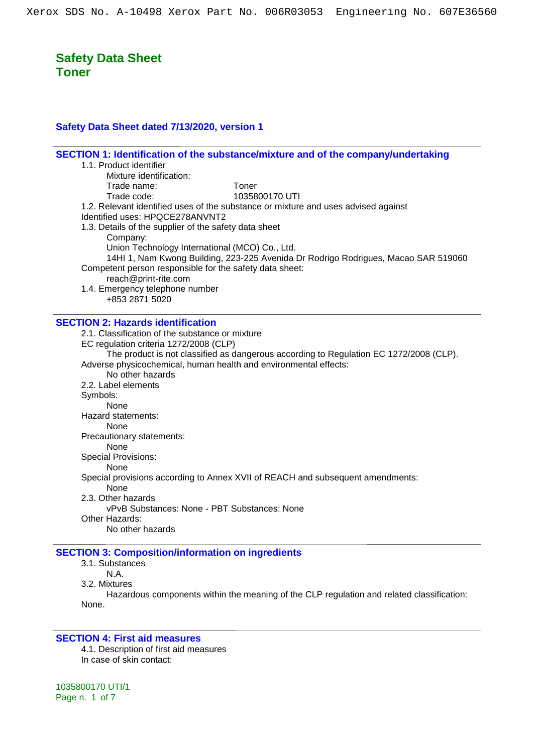### **Safety Data Sheet dated 7/13/2020, version 1**

| SECTION 1: Identification of the substance/mixture and of the company/undertaking      |
|----------------------------------------------------------------------------------------|
| 1.1. Product identifier                                                                |
| Mixture identification:<br>Toner                                                       |
| Trade name:<br>1035800170 UTI<br>Trade code:                                           |
| 1.2. Relevant identified uses of the substance or mixture and uses advised against     |
| Identified uses: HPQCE278ANVNT2                                                        |
| 1.3. Details of the supplier of the safety data sheet                                  |
| Company:                                                                               |
| Union Technology International (MCO) Co., Ltd.                                         |
| 14HI 1, Nam Kwong Building, 223-225 Avenida Dr Rodrigo Rodrigues, Macao SAR 519060     |
| Competent person responsible for the safety data sheet:                                |
| reach@print-rite.com                                                                   |
| 1.4. Emergency telephone number                                                        |
| +853 2871 5020                                                                         |
|                                                                                        |
| <b>SECTION 2: Hazards identification</b>                                               |
| 2.1. Classification of the substance or mixture                                        |
| EC regulation criteria 1272/2008 (CLP)                                                 |
| The product is not classified as dangerous according to Regulation EC 1272/2008 (CLP). |
| Adverse physicochemical, human health and environmental effects:                       |
| No other hazards                                                                       |
| 2.2. Label elements                                                                    |
| Symbols:                                                                               |
| None                                                                                   |
| Hazard statements:                                                                     |
| None                                                                                   |
| Precautionary statements:                                                              |
| None                                                                                   |
| <b>Special Provisions:</b>                                                             |
| <b>None</b>                                                                            |
| Special provisions according to Annex XVII of REACH and subsequent amendments:<br>None |
| 2.3. Other hazards                                                                     |
| vPvB Substances: None - PBT Substances: None                                           |
| Other Hazards:                                                                         |
| No other hazards                                                                       |
|                                                                                        |

## **SECTION 3: Composition/information on ingredients**

3.1. Substances

N.A.

3.2. Mixtures

Hazardous components within the meaning of the CLP regulation and related classification: None.

#### **SECTION 4: First aid measures**

4.1. Description of first aid measures In case of skin contact: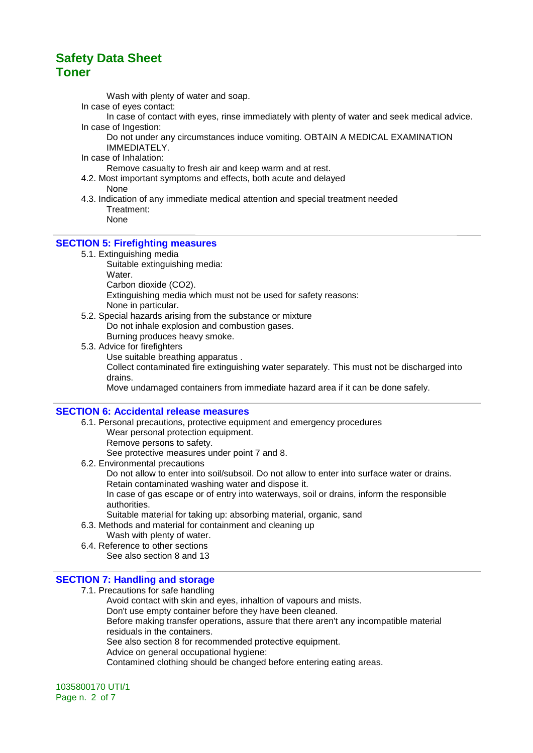Wash with plenty of water and soap.

- In case of eyes contact:
- In case of contact with eyes, rinse immediately with plenty of water and seek medical advice. In case of Ingestion:
	- Do not under any circumstances induce vomiting. OBTAIN A MEDICAL EXAMINATION IMMEDIATELY.
- In case of Inhalation:

Remove casualty to fresh air and keep warm and at rest.

- 4.2. Most important symptoms and effects, both acute and delayed None
- 4.3. Indication of any immediate medical attention and special treatment needed Treatment:
	- None

#### **SECTION 5: Firefighting measures**

- 5.1. Extinguishing media
	- Suitable extinguishing media: Water.
	- Carbon dioxide (CO2).

Extinguishing media which must not be used for safety reasons: None in particular.

- 5.2. Special hazards arising from the substance or mixture Do not inhale explosion and combustion gases. Burning produces heavy smoke.
- 5.3. Advice for firefighters
	- Use suitable breathing apparatus .

Collect contaminated fire extinguishing water separately. This must not be discharged into drains.

Move undamaged containers from immediate hazard area if it can be done safely.

#### **SECTION 6: Accidental release measures**

6.1. Personal precautions, protective equipment and emergency procedures Wear personal protection equipment. Remove persons to safety. See protective measures under point 7 and 8. 6.2. Environmental precautions

Do not allow to enter into soil/subsoil. Do not allow to enter into surface water or drains. Retain contaminated washing water and dispose it.

In case of gas escape or of entry into waterways, soil or drains, inform the responsible authorities.

- Suitable material for taking up: absorbing material, organic, sand
- 6.3. Methods and material for containment and cleaning up
	- Wash with plenty of water.
- 6.4. Reference to other sections See also section 8 and 13

#### **SECTION 7: Handling and storage**

7.1. Precautions for safe handling Avoid contact with skin and eyes, inhaltion of vapours and mists. Don't use empty container before they have been cleaned. Before making transfer operations, assure that there aren't any incompatible material residuals in the containers. See also section 8 for recommended protective equipment. Advice on general occupational hygiene: Contamined clothing should be changed before entering eating areas.

1035800170 UTI/1 Page n. 2 of 7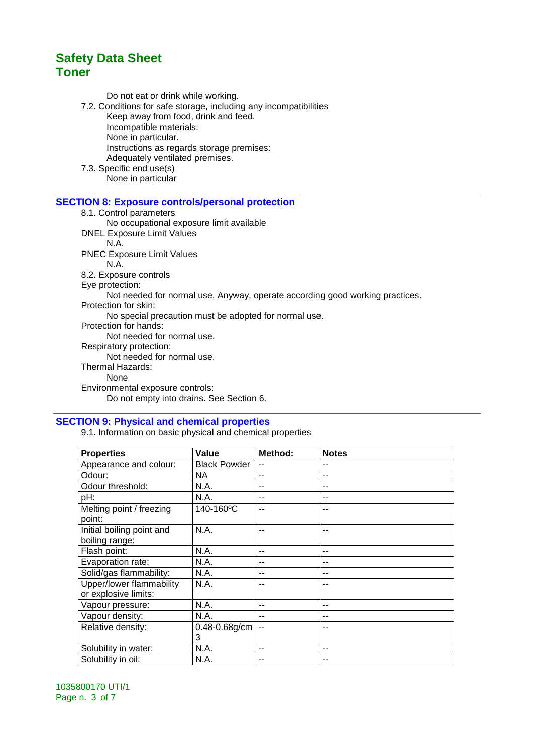Do not eat or drink while working.

7.2. Conditions for safe storage, including any incompatibilities

Keep away from food, drink and feed.

Incompatible materials:

None in particular.

- Instructions as regards storage premises:
- Adequately ventilated premises.
- 7.3. Specific end use(s) None in particular

#### **SECTION 8: Exposure controls/personal protection**

8.1. Control parameters

No occupational exposure limit available

DNEL Exposure Limit Values

N.A.

PNEC Exposure Limit Values

N.A.

8.2. Exposure controls

Eye protection:

Not needed for normal use. Anyway, operate according good working practices.

Protection for skin:

No special precaution must be adopted for normal use.

Protection for hands:

Not needed for normal use.

Respiratory protection:

Not needed for normal use.

Thermal Hazards:

None

Environmental exposure controls:

Do not empty into drains. See Section 6.

## **SECTION 9: Physical and chemical properties**

9.1. Information on basic physical and chemical properties

| <b>Properties</b>         | Value                  | Method: | <b>Notes</b> |
|---------------------------|------------------------|---------|--------------|
| Appearance and colour:    | <b>Black Powder</b>    | --      |              |
| Odour:                    | NA.                    | --      | --           |
| Odour threshold:          | N.A.                   | --      | --           |
| pH:                       | N.A.                   | --      |              |
| Melting point / freezing  | 140-160 <sup>o</sup> C | --      | --           |
| point:                    |                        |         |              |
| Initial boiling point and | N.A.                   | --      | --           |
| boiling range:            |                        |         |              |
| Flash point:              | N.A.                   | --      | --           |
| Evaporation rate:         | N.A.                   | --      | --           |
| Solid/gas flammability:   | N.A.                   | --      |              |
| Upper/lower flammability  | N.A.                   | --      |              |
| or explosive limits:      |                        |         |              |
| Vapour pressure:          | N.A.                   | --      | --           |
| Vapour density:           | N.A.                   | --      | --           |
| Relative density:         | 0.48-0.68g/cm          |         |              |
|                           | 3                      |         |              |
| Solubility in water:      | N.A.                   | --      | --           |
| Solubility in oil:        | N.A.                   | --      |              |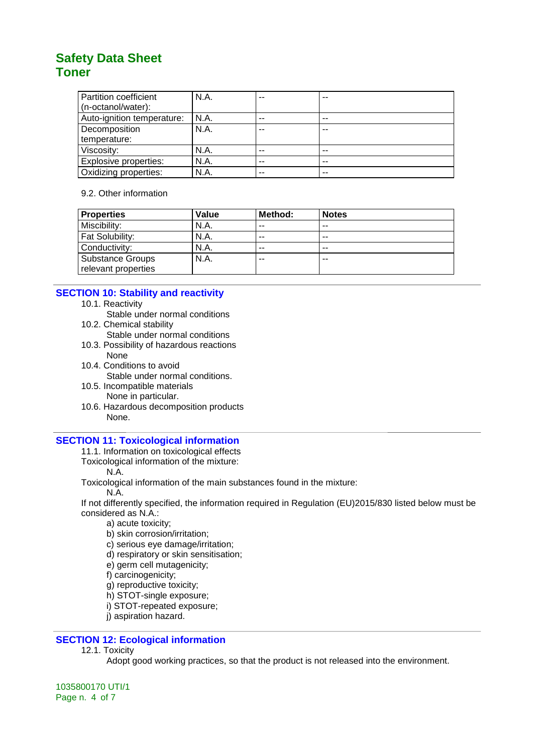| Partition coefficient        | N.A. | -- | $-$ |
|------------------------------|------|----|-----|
| (n-octanol/water):           |      |    |     |
| Auto-ignition temperature:   | N.A. | -- | --  |
| Decomposition                | N.A. | -- | --  |
| temperature:                 |      |    |     |
| Viscosity:                   | N.A. | -- | --  |
| <b>Explosive properties:</b> | N.A. | -- |     |
| Oxidizing properties:        | N.A. | -- | --  |

#### 9.2. Other information

| <b>Properties</b>       | Value | Method: | <b>Notes</b> |
|-------------------------|-------|---------|--------------|
| Miscibility:            | N.A.  | $- -$   | $- -$        |
| Fat Solubility:         | N.A.  | $- -$   | $- -$        |
| Conductivity:           | N.A.  | $- -$   | $- -$        |
| <b>Substance Groups</b> | N.A.  | $- -$   | --           |
| relevant properties     |       |         |              |

### **SECTION 10: Stability and reactivity**

- 10.1. Reactivity
	- Stable under normal conditions
- 10.2. Chemical stability
	- Stable under normal conditions
- 10.3. Possibility of hazardous reactions None
- 10.4. Conditions to avoid
- Stable under normal conditions. 10.5. Incompatible materials
- None in particular.
- 10.6. Hazardous decomposition products None.

### **SECTION 11: Toxicological information**

11.1. Information on toxicological effects

Toxicological information of the mixture:

N.A.

Toxicological information of the main substances found in the mixture:

N.A.

If not differently specified, the information required in Regulation (EU)2015/830 listed below must be considered as N.A.:

- a) acute toxicity;
- b) skin corrosion/irritation;
- c) serious eye damage/irritation;
- d) respiratory or skin sensitisation;
- e) germ cell mutagenicity;
- f) carcinogenicity;
- g) reproductive toxicity;
- h) STOT-single exposure;
- i) STOT-repeated exposure;
- j) aspiration hazard.

## **SECTION 12: Ecological information**

12.1. Toxicity

Adopt good working practices, so that the product is not released into the environment.

1035800170 UTI/1 Page n. 4 of 7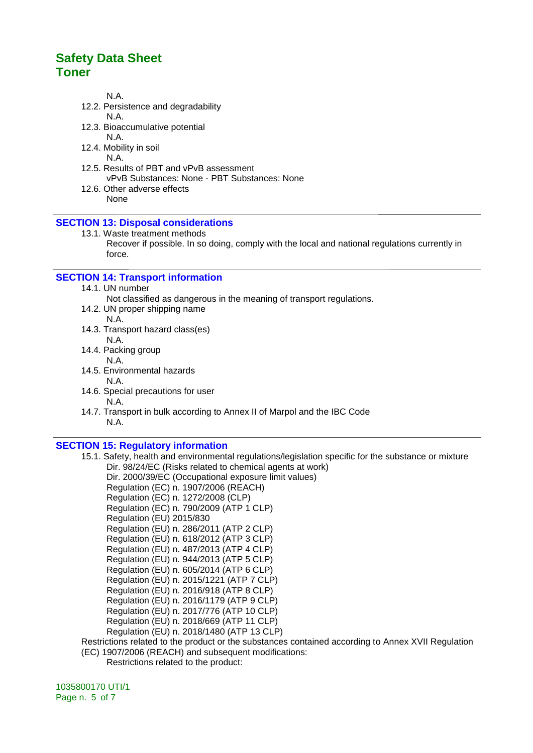N.A.

12.2. Persistence and degradability

N.A.

12.3. Bioaccumulative potential

N.A.

- 12.4. Mobility in soil N.A.
- 12.5. Results of PBT and vPvB assessment vPvB Substances: None - PBT Substances: None
- 12.6. Other adverse effects None

#### **SECTION 13: Disposal considerations**

- 13.1. Waste treatment methods
	- Recover if possible. In so doing, comply with the local and national regulations currently in force.

#### **SECTION 14: Transport information**

- 14.1. UN number
	- Not classified as dangerous in the meaning of transport regulations.
- 14.2. UN proper shipping name
	- N.A.
- 14.3. Transport hazard class(es) N.A.
- 14.4. Packing group N.A.
- 14.5. Environmental hazards
- N.A. 14.6. Special precautions for user N.A.
- 14.7. Transport in bulk according to Annex II of Marpol and the IBC Code N.A.

#### **SECTION 15: Regulatory information**

- 15.1. Safety, health and environmental regulations/legislation specific for the substance or mixture Dir. 98/24/EC (Risks related to chemical agents at work) Dir. 2000/39/EC (Occupational exposure limit values) Regulation (EC) n. 1907/2006 (REACH) Regulation (EC) n. 1272/2008 (CLP) Regulation (EC) n. 790/2009 (ATP 1 CLP) Regulation (EU) 2015/830 Regulation (EU) n. 286/2011 (ATP 2 CLP) Regulation (EU) n. 618/2012 (ATP 3 CLP) Regulation (EU) n. 487/2013 (ATP 4 CLP) Regulation (EU) n. 944/2013 (ATP 5 CLP) Regulation (EU) n. 605/2014 (ATP 6 CLP) Regulation (EU) n. 2015/1221 (ATP 7 CLP) Regulation (EU) n. 2016/918 (ATP 8 CLP) Regulation (EU) n. 2016/1179 (ATP 9 CLP) Regulation (EU) n. 2017/776 (ATP 10 CLP) Regulation (EU) n. 2018/669 (ATP 11 CLP) Regulation (EU) n. 2018/1480 (ATP 13 CLP) Restrictions related to the product or the substances contained according to Annex XVII Regulation (EC) 1907/2006 (REACH) and subsequent modifications:
	- Restrictions related to the product:

1035800170 UTI/1 Page n. 5 of 7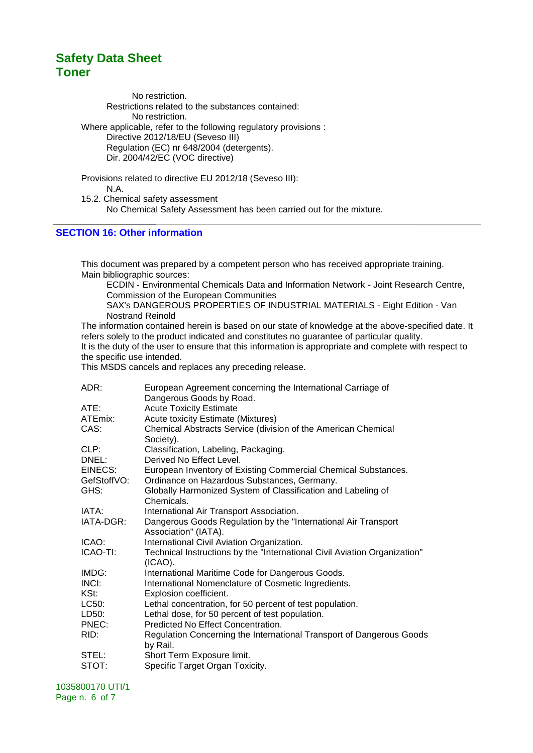No restriction. Restrictions related to the substances contained: No restriction. Where applicable, refer to the following regulatory provisions : Directive 2012/18/EU (Seveso III) Regulation (EC) nr 648/2004 (detergents). Dir. 2004/42/EC (VOC directive)

Provisions related to directive EU 2012/18 (Seveso III): N.A. 15.2. Chemical safety assessment No Chemical Safety Assessment has been carried out for the mixture.

#### **SECTION 16: Other information**

This document was prepared by a competent person who has received appropriate training. Main bibliographic sources:

ECDIN - Environmental Chemicals Data and Information Network - Joint Research Centre, Commission of the European Communities

SAX's DANGEROUS PROPERTIES OF INDUSTRIAL MATERIALS - Eight Edition - Van Nostrand Reinold

The information contained herein is based on our state of knowledge at the above-specified date. It refers solely to the product indicated and constitutes no guarantee of particular quality. It is the duty of the user to ensure that this information is appropriate and complete with respect to the specific use intended.

This MSDS cancels and replaces any preceding release.

| ADR:        | European Agreement concerning the International Carriage of                             |
|-------------|-----------------------------------------------------------------------------------------|
|             | Dangerous Goods by Road.                                                                |
| ATE:        | <b>Acute Toxicity Estimate</b>                                                          |
| ATEmix:     | <b>Acute toxicity Estimate (Mixtures)</b>                                               |
| CAS:        | Chemical Abstracts Service (division of the American Chemical                           |
|             | Society).                                                                               |
| CLP:        | Classification, Labeling, Packaging.                                                    |
| DNEL:       | Derived No Effect Level.                                                                |
| EINECS:     | European Inventory of Existing Commercial Chemical Substances.                          |
| GefStoffVO: | Ordinance on Hazardous Substances, Germany.                                             |
| GHS:        | Globally Harmonized System of Classification and Labeling of                            |
|             | Chemicals.                                                                              |
| IATA:       | International Air Transport Association.                                                |
| IATA-DGR:   | Dangerous Goods Regulation by the "International Air Transport"                         |
|             | Association" (IATA).                                                                    |
| ICAO:       | International Civil Aviation Organization.                                              |
| ICAO-TI:    | Technical Instructions by the "International Civil Aviation Organization"<br>$(ICAO)$ . |
| IMDG:       | International Maritime Code for Dangerous Goods.                                        |
| INCI:       | International Nomenclature of Cosmetic Ingredients.                                     |
| KSt:        | Explosion coefficient.                                                                  |
| LC50:       | Lethal concentration, for 50 percent of test population.                                |
| LD50:       | Lethal dose, for 50 percent of test population.                                         |
| PNEC:       | Predicted No Effect Concentration.                                                      |
| RID:        | Regulation Concerning the International Transport of Dangerous Goods<br>by Rail.        |
| STEL:       | Short Term Exposure limit.                                                              |
| STOT:       | Specific Target Organ Toxicity.                                                         |
|             |                                                                                         |

1035800170 UTI/1 Page n. 6 of 7